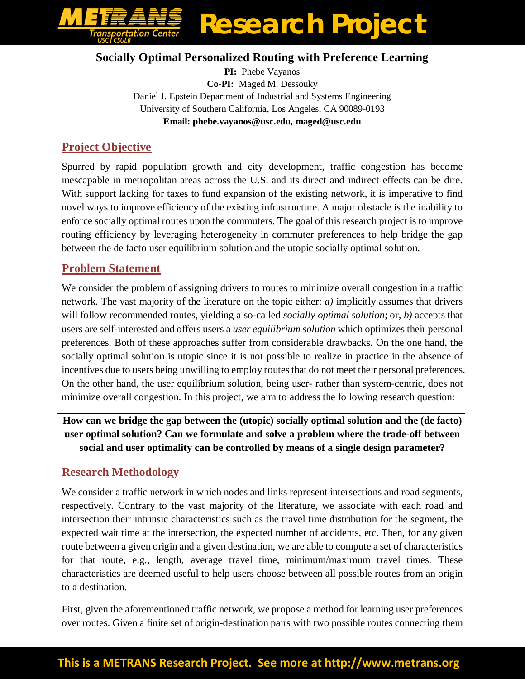

#### **Socially Optimal Personalized Routing with Preference Learning**

**PI:** Phebe Vayanos **Co-PI:** Maged M. Dessouky Daniel J. Epstein Department of Industrial and Systems Engineering University of Southern California, Los Angeles, CA 90089-0193 **Email: phebe.vayanos@usc.edu, maged@usc.edu**

## **Project Objective**

Spurred by rapid population growth and city development, traffic congestion has become inescapable in metropolitan areas across the U.S. and its direct and indirect effects can be dire. With support lacking for taxes to fund expansion of the existing network, it is imperative to find novel ways to improve efficiency of the existing infrastructure. A major obstacle is the inability to enforce socially optimal routes upon the commuters. The goal of this research project is to improve routing efficiency by leveraging heterogeneity in commuter preferences to help bridge the gap between the de facto user equilibrium solution and the utopic socially optimal solution.

## **Problem Statement**

We consider the problem of assigning drivers to routes to minimize overall congestion in a traffic network. The vast majority of the literature on the topic either: *a)* implicitly assumes that drivers will follow recommended routes, yielding a so-called *socially optimal solution*; or, *b)* accepts that users are self-interested and offers users a *user equilibrium solution* which optimizes their personal preferences. Both of these approaches suffer from considerable drawbacks. On the one hand, the socially optimal solution is utopic since it is not possible to realize in practice in the absence of incentives due to users being unwilling to employ routes that do not meet their personal preferences. On the other hand, the user equilibrium solution, being user- rather than system-centric, does not minimize overall congestion. In this project, we aim to address the following research question:

**How can we bridge the gap between the (utopic) socially optimal solution and the (de facto) user optimal solution? Can we formulate and solve a problem where the trade-off between social and user optimality can be controlled by means of a single design parameter?**

## **Research Methodology**

We consider a traffic network in which nodes and links represent intersections and road segments, respectively. Contrary to the vast majority of the literature, we associate with each road and intersection their intrinsic characteristics such as the travel time distribution for the segment, the expected wait time at the intersection, the expected number of accidents, etc. Then, for any given route between a given origin and a given destination, we are able to compute a set of characteristics for that route, e.g., length, average travel time, minimum/maximum travel times. These characteristics are deemed useful to help users choose between all possible routes from an origin to a destination.

First, given the aforementioned traffic network, we propose a method for learning user preferences over routes. Given a finite set of origin-destination pairs with two possible routes connecting them